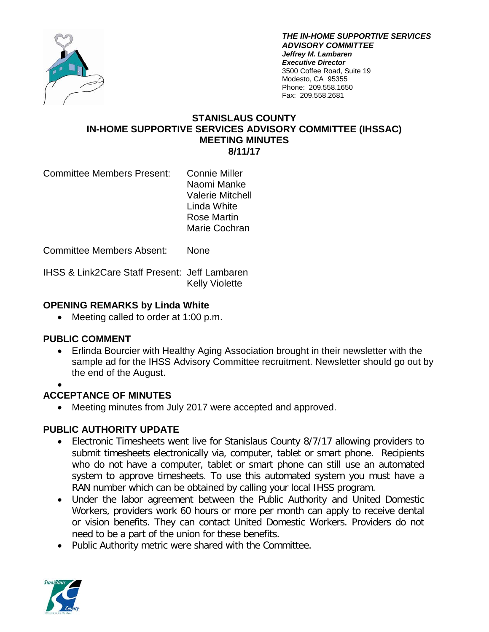

*THE IN-HOME SUPPORTIVE SERVICES ADVISORY COMMITTEE Jeffrey M. Lambaren Executive Director* 3500 Coffee Road, Suite 19 Modesto, CA 95355 Phone: 209.558.1650 Fax: 209.558.2681

#### **STANISLAUS COUNTY IN-HOME SUPPORTIVE SERVICES ADVISORY COMMITTEE (IHSSAC) MEETING MINUTES 8/11/17**

Committee Members Present: Connie Miller

Naomi Manke Valerie Mitchell Linda White Rose Martin Marie Cochran

Committee Members Absent: None

IHSS & Link2Care Staff Present: Jeff Lambaren Kelly Violette

## **OPENING REMARKS by Linda White**

• Meeting called to order at 1:00 p.m.

### **PUBLIC COMMENT**

- Erlinda Bourcier with Healthy Aging Association brought in their newsletter with the sample ad for the IHSS Advisory Committee recruitment. Newsletter should go out by the end of the August.
- •

## **ACCEPTANCE OF MINUTES**

• Meeting minutes from July 2017 were accepted and approved.

### **PUBLIC AUTHORITY UPDATE**

- Electronic Timesheets went live for Stanislaus County 8/7/17 allowing providers to submit timesheets electronically via, computer, tablet or smart phone. Recipients who do not have a computer, tablet or smart phone can still use an automated system to approve timesheets. To use this automated system you must have a RAN number which can be obtained by calling your local IHSS program.
- Under the labor agreement between the Public Authority and United Domestic Workers, providers work 60 hours or more per month can apply to receive dental or vision benefits. They can contact United Domestic Workers. Providers do not need to be a part of the union for these benefits.
- Public Authority metric were shared with the Committee.